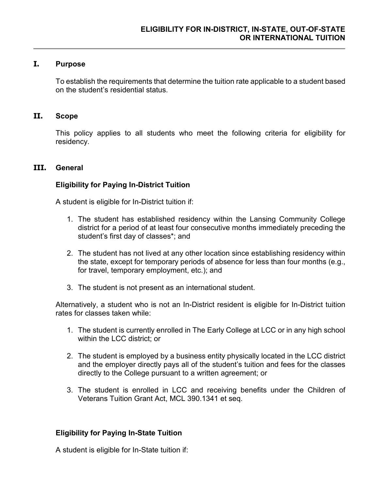### **I. Purpose**

To establish the requirements that determine the tuition rate applicable to a student based on the student's residential status.

### **II. Scope**

This policy applies to all students who meet the following criteria for eligibility for residency.

### **III. General**

### **Eligibility for Paying In-District Tuition**

A student is eligible for In-District tuition if:

- 1. The student has established residency within the Lansing Community College district for a period of at least four consecutive months immediately preceding the student's first day of classes\*; and
- 2. The student has not lived at any other location since establishing residency within the state, except for temporary periods of absence for less than four months (e.g., for travel, temporary employment, etc.); and
- 3. The student is not present as an international student.

Alternatively, a student who is not an In-District resident is eligible for In-District tuition rates for classes taken while:

- 1. The student is currently enrolled in The Early College at LCC or in any high school within the LCC district; or
- 2. The student is employed by a business entity physically located in the LCC district and the employer directly pays all of the student's tuition and fees for the classes directly to the College pursuant to a written agreement; or
- 3. The student is enrolled in LCC and receiving benefits under the Children of Veterans Tuition Grant Act, MCL 390.1341 et seq.

## **Eligibility for Paying In-State Tuition**

A student is eligible for In-State tuition if: